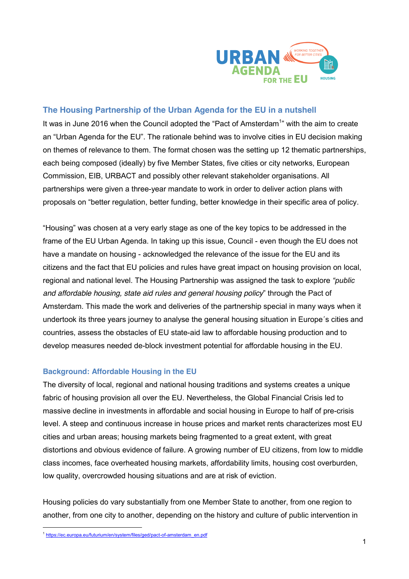

# **The Housing Partnership of the Urban Agenda for the EU in a nutshell**

It was in June 2016 when the Council adopted the "Pact of Amsterdam<sup>1</sup>" with the aim to create an "Urban Agenda for the EU". The rationale behind was to involve cities in EU decision making on themes of relevance to them. The format chosen was the setting up 12 thematic partnerships, each being composed (ideally) by five Member States, five cities or city networks, European Commission, EIB, URBACT and possibly other relevant stakeholder organisations. All partnerships were given a three-year mandate to work in order to deliver action plans with proposals on "better regulation, better funding, better knowledge in their specific area of policy.

"Housing" was chosen at a very early stage as one of the key topics to be addressed in the frame of the EU Urban Agenda. In taking up this issue, Council - even though the EU does not have a mandate on housing - acknowledged the relevance of the issue for the EU and its citizens and the fact that EU policies and rules have great impact on housing provision on local, regional and national level. The Housing Partnership was assigned the task to explore *"public and affordable housing, state aid rules and general housing policy*" through the Pact of Amsterdam. This made the work and deliveries of the partnership special in many ways when it undertook its three years journey to analyse the general housing situation in Europe´s cities and countries, assess the obstacles of EU state-aid law to affordable housing production and to develop measures needed de-block investment potential for affordable housing in the EU.

#### **Background: Affordable Housing in the EU**

The diversity of local, regional and national housing traditions and systems creates a unique fabric of housing provision all over the EU. Nevertheless, the Global Financial Crisis led to massive decline in investments in affordable and social housing in Europe to half of pre-crisis level. A steep and continuous increase in house prices and market rents characterizes most EU cities and urban areas; housing markets being fragmented to a great extent, with great distortions and obvious evidence of failure. A growing number of EU citizens, from low to middle class incomes, face overheated housing markets, affordability limits, housing cost overburden, low quality, overcrowded housing situations and are at risk of eviction.

Housing policies do vary substantially from one Member State to another, from one region to another, from one city to another, depending on the history and culture of public intervention in

 <sup>1</sup> https://ec.europa.eu/futurium/en/system/files/ged/pact-of-amsterdam\_en.pdf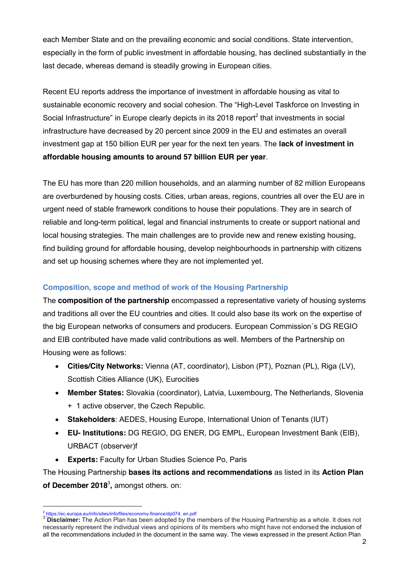each Member State and on the prevailing economic and social conditions. State intervention, especially in the form of public investment in affordable housing, has declined substantially in the last decade, whereas demand is steadily growing in European cities.

Recent EU reports address the importance of investment in affordable housing as vital to sustainable economic recovery and social cohesion. The "High-Level Taskforce on Investing in Social Infrastructure" in Europe clearly depicts in its 2018 report<sup>2</sup> that investments in social infrastructure have decreased by 20 percent since 2009 in the EU and estimates an overall investment gap at 150 billion EUR per year for the next ten years. The **lack of investment in affordable housing amounts to around 57 billion EUR per year**.

The EU has more than 220 million households, and an alarming number of 82 million Europeans are overburdened by housing costs. Cities, urban areas, regions, countries all over the EU are in urgent need of stable framework conditions to house their populations. They are in search of reliable and long-term political, legal and financial instruments to create or support national and local housing strategies. The main challenges are to provide new and renew existing housing, find building ground for affordable housing, develop neighbourhoods in partnership with citizens and set up housing schemes where they are not implemented yet.

### **Composition, scope and method of work of the Housing Partnership**

The **composition of the partnership** encompassed a representative variety of housing systems and traditions all over the EU countries and cities. It could also base its work on the expertise of the big European networks of consumers and producers. European Commission´s DG REGIO and EIB contributed have made valid contributions as well. Members of the Partnership on Housing were as follows:

- x **Cities/City Networks:** Vienna (AT, coordinator), Lisbon (PT), Poznan (PL), Riga (LV), Scottish Cities Alliance (UK), Eurocities
- x **Member States:** Slovakia (coordinator), Latvia, Luxembourg, The Netherlands, Slovenia + 1 active observer, the Czech Republic.
- x **Stakeholders**: AEDES, Housing Europe, International Union of Tenants (IUT)
- x **EU- Institutions:** DG REGIO, DG ENER, DG EMPL, European Investment Bank (EIB), URBACT (observer)f
- x **Experts:** Faculty for Urban Studies Science Po, Paris

The Housing Partnership **bases its actions and recommendations** as listed in its **Action Plan of December 2018**<sup>3</sup> **,** amongst others. on:

<sup>&</sup>lt;sup>2</sup> https://ec.europa.eu/info/sites/info/files/economy-finance/dp074\_en.pdf<br><sup>3</sup> Disclaimer: The Action Plan has been adopted by the members of the Housing Partnership as a whole. It does not necessarily represent the individual views and opinions of its members who might have not endorsed the inclusion of all the recommendations included in the document in the same way. The views expressed in the present Action Plan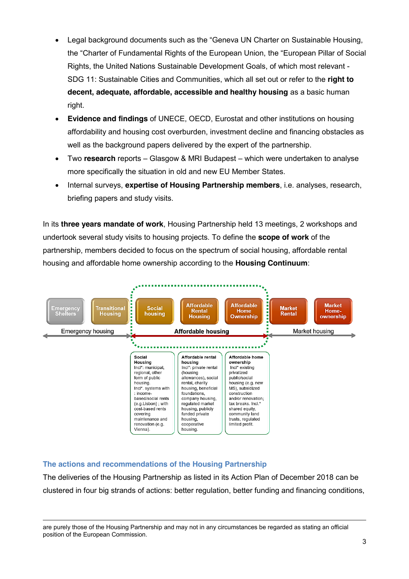- Legal background documents such as the "Geneva UN Charter on Sustainable Housing, the "Charter of Fundamental Rights of the European Union, the "European Pillar of Social Rights, the United Nations Sustainable Development Goals, of which most relevant - SDG 11: Sustainable Cities and Communities, which all set out or refer to the **right to decent, adequate, affordable, accessible and healthy housing** as a basic human right.
- **Evidence and findings** of UNECE, OECD, Eurostat and other institutions on housing affordability and housing cost overburden, investment decline and financing obstacles as well as the background papers delivered by the expert of the partnership.
- Two **research** reports Glasgow & MRI Budapest which were undertaken to analyse more specifically the situation in old and new EU Member States.
- x Internal surveys, **expertise of Housing Partnership members**, i.e. analyses, research, briefing papers and study visits.

In its **three years mandate of work**, Housing Partnership held 13 meetings, 2 workshops and undertook several study visits to housing projects. To define the **scope of work** of the partnership, members decided to focus on the spectrum of social housing, affordable rental housing and affordable home ownership according to the **Housing Continuum**:



# **The actions and recommendations of the Housing Partnership**

The deliveries of the Housing Partnership as listed in its Action Plan of December 2018 can be clustered in four big strands of actions: better regulation, better funding and financing conditions,

are purely those of the Housing Partnership and may not in any circumstances be regarded as stating an official position of the European Commission.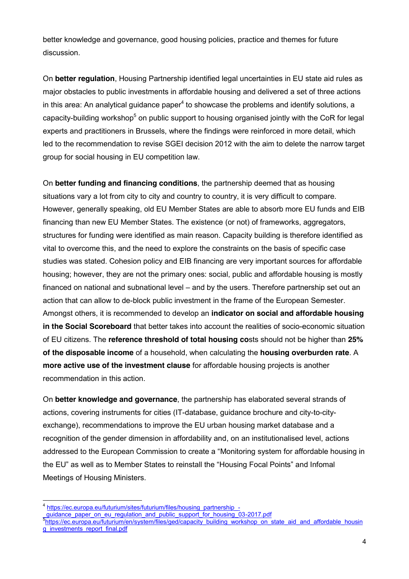better knowledge and governance, good housing policies, practice and themes for future discussion.

On **better regulation**, Housing Partnership identified legal uncertainties in EU state aid rules as major obstacles to public investments in affordable housing and delivered a set of three actions in this area: An analytical quidance paper<sup>4</sup> to showcase the problems and identify solutions, a capacity-building workshop<sup>5</sup> on public support to housing organised jointly with the CoR for legal experts and practitioners in Brussels, where the findings were reinforced in more detail, which led to the recommendation to revise SGEI decision 2012 with the aim to delete the narrow target group for social housing in EU competition law.

On **better funding and financing conditions**, the partnership deemed that as housing situations vary a lot from city to city and country to country, it is very difficult to compare. However, generally speaking, old EU Member States are able to absorb more EU funds and EIB financing than new EU Member States. The existence (or not) of frameworks, aggregators, structures for funding were identified as main reason. Capacity building is therefore identified as vital to overcome this, and the need to explore the constraints on the basis of specific case studies was stated. Cohesion policy and EIB financing are very important sources for affordable housing; however, they are not the primary ones: social, public and affordable housing is mostly financed on national and subnational level – and by the users. Therefore partnership set out an action that can allow to de-block public investment in the frame of the European Semester. Amongst others, it is recommended to develop an **indicator on social and affordable housing in the Social Scoreboard** that better takes into account the realities of socio-economic situation of EU citizens. The **reference threshold of total housing co**sts should not be higher than **25% of the disposable income** of a household, when calculating the **housing overburden rate**. A **more active use of the investment clause** for affordable housing projects is another recommendation in this action.

On **better knowledge and governance**, the partnership has elaborated several strands of actions, covering instruments for cities (IT-database, guidance brochure and city-to-cityexchange), recommendations to improve the EU urban housing market database and a recognition of the gender dimension in affordability and, on an institutionalised level, actions addressed to the European Commission to create a "Monitoring system for affordable housing in the EU" as well as to Member States to reinstall the "Housing Focal Points" and Infomal Meetings of Housing Ministers.

quidance paper on eu regulation and public support for housing 03-2017.pdf

https://ec.europa.eu/futurium/sites/futurium/files/housing\_partnership\_-

https://ec.europa.eu/futurium/en/system/files/ged/capacity\_building\_workshop\_on\_state\_aid\_and\_affordable\_housin g\_investments\_report\_final.pdf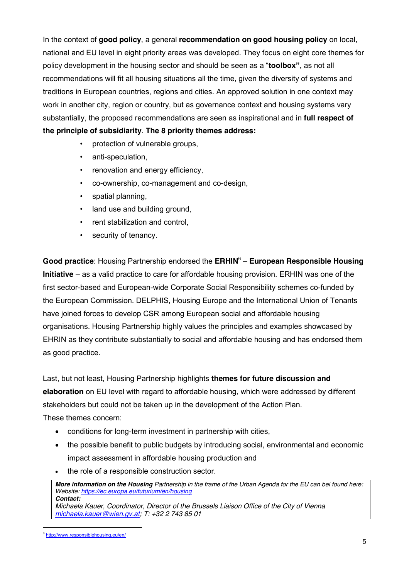In the context of **good policy**, a general **recommendation on good housing policy** on local, national and EU level in eight priority areas was developed. They focus on eight core themes for policy development in the housing sector and should be seen as a "**toolbox"**, as not all recommendations will fit all housing situations all the time, given the diversity of systems and traditions in European countries, regions and cities. An approved solution in one context may work in another city, region or country, but as governance context and housing systems vary substantially, the proposed recommendations are seen as inspirational and in **full respect of the principle of subsidiarity**. **The 8 priority themes address:**

- protection of vulnerable groups,
- anti-speculation,
- renovation and energy efficiency,
- co-ownership, co-management and co-design,
- spatial planning,
- land use and building ground,
- rent stabilization and control,
- security of tenancy.

**Good practice**: Housing Partnership endorsed the **ERHIN**<sup>6</sup> – **European Responsible Housing Initiative** – as a valid practice to care for affordable housing provision. ERHIN was one of the first sector-based and European-wide Corporate Social Responsibility schemes co-funded by the European Commission. DELPHIS, Housing Europe and the International Union of Tenants have joined forces to develop CSR among European social and affordable housing organisations. Housing Partnership highly values the principles and examples showcased by EHRIN as they contribute substantially to social and affordable housing and has endorsed them as good practice.

Last, but not least, Housing Partnership highlights **themes for future discussion and elaboration** on EU level with regard to affordable housing, which were addressed by different stakeholders but could not be taken up in the development of the Action Plan.

These themes concern:

- conditions for long-term investment in partnership with cities,
- the possible benefit to public budgets by introducing social, environmental and economic impact assessment in affordable housing production and
- the role of a responsible construction sector.

*More information on the Housing Partnership in the frame of the Urban Agenda for the EU can bei found here: Website: https://ec.europa.eu/futurium/en/housing Contact:* 

*Michaela Kauer, Coordinator, Director of the Brussels Liaison Office of the City of Vienna michaela.kauer@wien.gv.at; T: +32 2 743 85 01*

 <sup>6</sup> http://www.responsiblehousing.eu/en/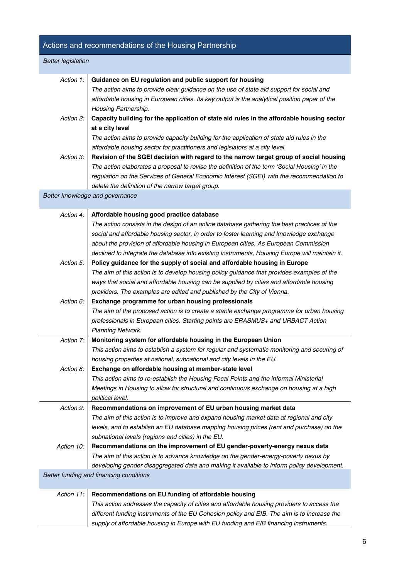# Actions and recommendations of the Housing Partnership *Better legislation Action 1:* **Guidance on EU regulation and public support for housing** *The action aims to provide clear guidance on the use of state aid support for social and affordable housing in European cities. Its key output is the analytical position paper of the Housing Partnership. Action 2:* **Capacity building for the application of state aid rules in the affordable housing sector at a city level** *The action aims to provide capacity building for the application of state aid rules in the affordable housing sector for practitioners and legislators at a city level. Action 3:* **Revision of the SGEI decision with regard to the narrow target group of social housing** *The action elaborates a proposal to revise the definition of the term 'Social Housing' in the regulation on the Services of General Economic Interest (SGEI) with the recommendation to delete the definition of the narrow target group. Better knowledge and governance Action 4:* **Affordable housing good practice database** *The action consists in the design of an online database gathering the best practices of the social and affordable housing sector, in order to foster learning and knowledge exchange about the provision of affordable housing in European cities. As European Commission declined to integrate the database into existing instruments, Housing Europe will maintain it. Action 5:* **Policy guidance for the supply of social and affordable housing in Europe** *The aim of this action is to develop housing policy guidance that provides examples of the ways that social and affordable housing can be supplied by cities and affordable housing providers. The examples are edited and published by the City of Vienna. Action 6:* **Exchange programme for urban housing professionals**  *The aim of the proposed action is to create a stable exchange programme for urban housing professionals in European cities. Starting points are ERASMUS+ and URBACT Action Planning Network. Action 7:* **Monitoring system for affordable housing in the European Union** *This action aims to establish a system for regular and systematic monitoring and securing of housing properties at national, subnational and city levels in the EU. Action 8:* **Exchange on affordable housing at member-state level** *This action aims to re-establish the Housing Focal Points and the informal Ministerial Meetings in Housing to allow for structural and continuous exchange on housing at a high political level. Action 9:* **Recommendations on improvement of EU urban housing market data** *The aim of this action is to improve and expand housing market data at regional and city levels, and to establish an EU database mapping housing prices (rent and purchase) on the subnational levels (regions and cities) in the EU. Action 10:* **Recommendations on the improvement of EU gender-poverty-energy nexus data**  *The aim of this action is to advance knowledge on the gender-energy-poverty nexus by developing gender disaggregated data and making it available to inform policy development. Better funding and financing conditions Action 11:* **Recommendations on EU funding of affordable housing** *This action addresses the capacity of cities and affordable housing providers to access the different funding instruments of the EU Cohesion policy and EIB. The aim is to increase the*